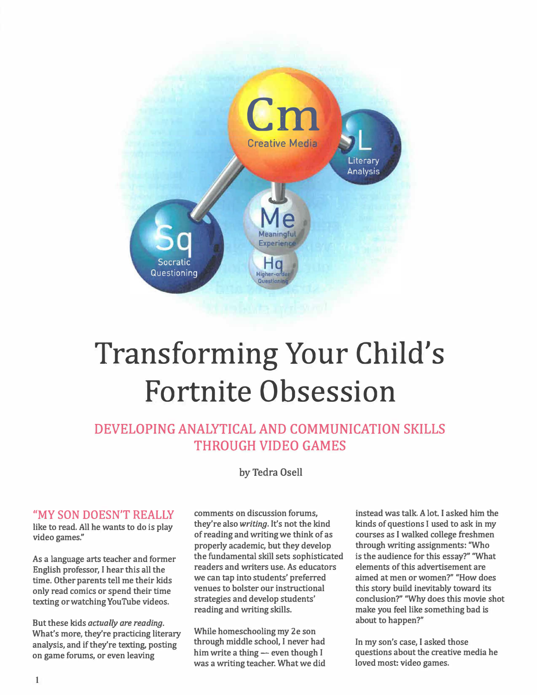

## Transforming Your Child's Fortnite Obsession

### DEVELOPING ANALYTICAL AND COMMUNICATION SKILLS THROUGH VIDEO GAMES

by Tedra Osell

**they're also** *writing.* **It's not the kind is play they're also** *writing.* **It's not the kind wideo games" of reading and writing we think of as** 

only read comics or spend their time<br>texting or watching YouTube videos strategies and develop students'

But these kids *actually are reading.*<br>What's more they're practicing literary While homeschooling my 2e son What's more, they're practicing literary **While homeschooling my 2e son**<br>analysis, and if they're texting posting through middle school, I never had **through middle school, I never had In my son's case, I asked those** an game forums or even leaving him write a thing - even though I questions about the creative m

"MY SON DOESN'T REALLY comments on discussion forums, instead was talk. A lot. I asked him the like to read. All be wants to do is play they're also writing. It's not the kind kinds of questions I used to ask in my **of reading and writing we think of as** courses as I walked college freshmen video games." The contract of reading and writing we think of as courses as I walked college freshmen properly academic, but they develop through properly academic, but they develop As a language arts teacher and former the fundamental skill sets sophisticated is the audience for this essay?" "What <br>Figure 1 hours began this all the seaders and writers use. As educators elements of this advertisement **Figure 1.1 English professor, I hear this all the readers and writers use. As educators** elements of this advertisement are <br>
ime Other parents tell me their kids we can tap into students' preferred aimed at men or wome time. Other parents tell me their kids we can tap into students' preferred aimed at men or women?" "How does<br>only read comics or spend their time venues to bolster our instructional this story build inevitably toward its **strategies and develop students'** conclusion?" "Why does this movie shot texting or watching YouTube videos. <br>reading and writing skills. The make you feel like something bad is

was a writing teacher. What we did

make you feel like something bad is

**him write a thing -- even though I questions about the creative media he on game forums, or even leaving him write a thing -- even though I questions about the creative media he was a writing teacher. What we did** loved m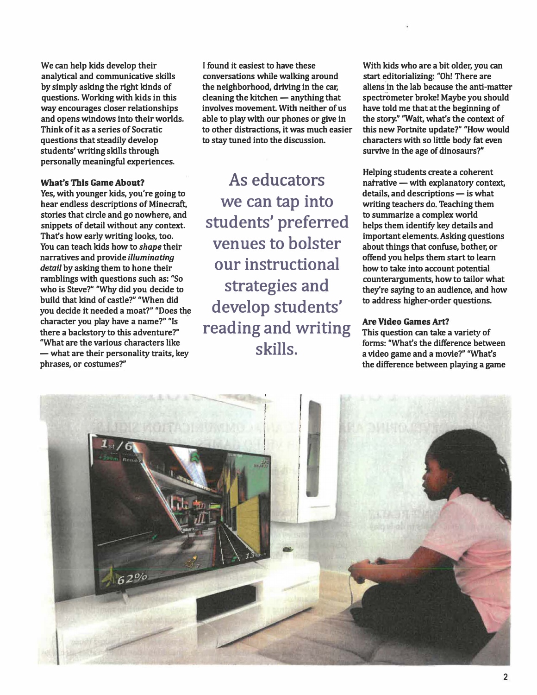We can help kids develop their **analytical and communicative skills**  by simply asking the right kinds of **questions. Working with kids in this c way encourages closer relationships i and opens windows into their worlds. a Think of it as a series of Socratic t questions that steadily develop t students' writing skills through personally meaningful experiences.** 

### **What's This Game About?**

**Yes, with younger kids, you're going to hear endless descriptions of Mine craft, stories that circle and go nowhere, and snippets of detail without any context. That's how early writing looks, too. You can teach kids how to** *shape* **their narratives and provide** *illuminating detail* **by asking them to hone their ramblings with questions such as: "So who is Steve?" "Why did you decide to build that kind of castle?" "When did you decide it needed a moat?" "Does the character you play have a name?" "Is there a backstory to this adventure?" ''What are the various characters like - what are their personality traits, key phrases, or costumes?"**

**found it easiest to have these conversations while walking around he neighborhood, driving in the car, leaning the kitchen - anything that nvolves movement. With neither of us ble to play with our phones or give in o other distractions, it was much easier o stay tuned into the discussion.** 

**As educators we can tap into students' preferred venues to bolster our instructional strategies and develop students' reading and writing skills.** 

**With kids who are a bit older, you can start editorializing: "Oh! There are aliens in the lab because the anti-matter spectrometer broke! Maybe you should have told me that at the beginning of the story!' 'Wait, what's the context of this new Fortnite update?" "How would characters with so little body fat even survive in the age of dinosaurs?"** 

**Helping students create a coherent narrative - with explanatory context,**  details, and descriptions - is what **writing teachers do. Teaching them to summarize a complex world helps them identify key details and important elements. Asking questions about things that confuse, bother, or offend you helps them start to learn how to take into account potential . counterarguments, how to tailor what they're saying to an audience, and how to address higher-order questions.** 

### **Are Video Games Art?**

**This question can take a variety of forms: ''What's the difference between a video game and a movie?" ''What's the difference between playing a game** 

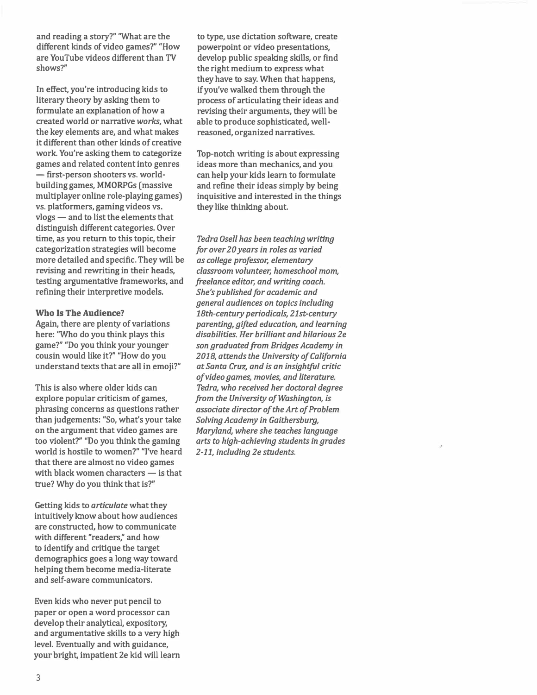**and reading a story?" "What are the different kinds of video games?" "How are YouTube videos different than TV shows?"** 

**In effect, you're introducing kids to literary theory by asking them to formulate an explanation of how a created world or narrative** *works,* **what the key elements are, and what makes it different than other kinds of creative work. You're asking them to categorize games and related content into genres - first-person shooters vs. worldbuilding games, MMORPGs (massive multiplayer online role-playing games) vs. platformers, gaming videos vs. vlogs - and to list the elements that distinguish different categories. Over time, as you return to this topic, their categorization strategies will become more detailed and specific. They will be revising and rewriting in their heads, testing argumentative frameworks, and refining their interpretive models.**

### **Who Is The Audience?**

**Again, there are plenty of variations here: 'Who do you think plays this game?" "Do you think your younger cousin would like it?" "How do you understand texts that are all in emoji?"** 

**This is also where older kids can explore popular criticism of games, phrasing concerns as questions rather than judgements: "So, what's your take on the argument that video games are too violent?" "Do you think the gaming world is hostile to women?" "I've heard that there are almost no video games**  with black women characters - is that **true? Why do you think that is?"** 

**Getting kids to** *articulate* **what they intuitively know about how audiences are constructed, how to communicate with different "readers," and how to identify and critique the target demographics goes a long way toward helping them become media-literate and self-aware communicators.** 

**Even kids who never put pencil to paper or open a word processor can develop their analytical, expository, and argumentative skills to a very high level. Eventually and with guidance, your bright, impatient 2e kid will learn** 

**to type, use dictation software, create powerpoint or video presentations, develop public speaking skills, or find the right medium to express what they have to say. When that happens, if you've walked them through the process of articulating their ideas and revising their arguments, they will be able to produce sophisticated, wellreasoned, organized narratives.** 

**Top-notch writing is about expressing ideas more than mechanics, and you can help your kids learn to formulate and refine their ideas simply by being inquisitive and interested in the things they like thinking about.** 

*Tedra Osell has been teaching writing for over 20 years in roles as varied as college professor, elementary classroom volunteer, homeschool mom, freelance editor, and writing coach. She's published for academic and general audiences on topics including 18th-century periodicals, 21st-century parenting, gifted education, and learning disabilities. Her brilliant and hilarious 2e son graduated from Bridges Academy in 2018, attends the University of California at Santa Cruz, and is an insightful critic of video games, movies, and literature. Tedra, who received her doctoral degree from the University of Washington, is associate director of the Art of Problem Solving Academy in Gaithersburg, Maryland, where she teaches language arts to high-achieving students in grades 2-11, including 2e students.*